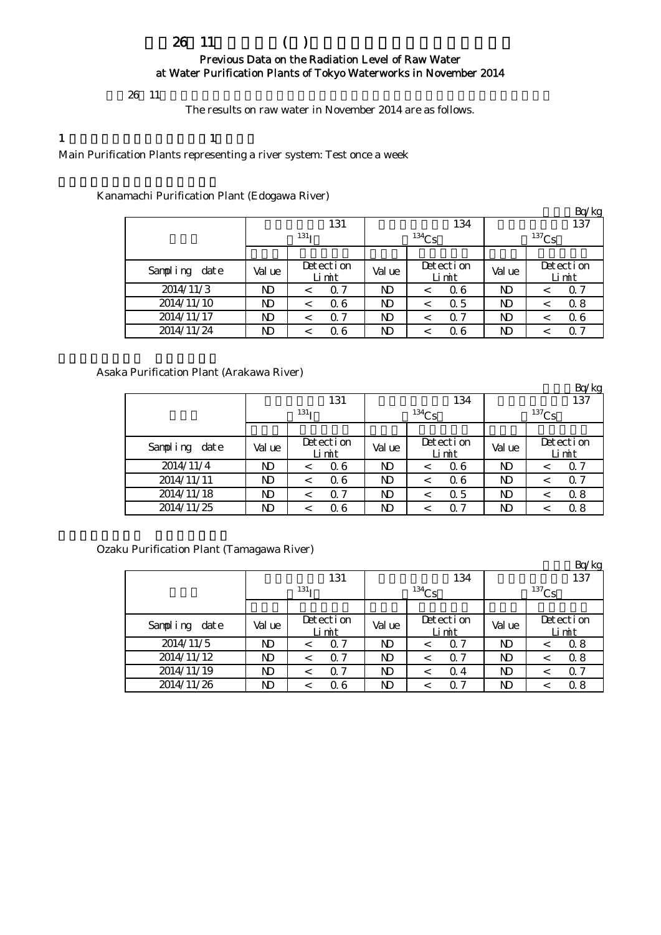# $26 \t11$  () Previous Data on the Radiation Level of Raw Water at Water Purification Plants of Tokyo Waterworks in November 2014

## $26 \t11$

The results on raw water in November 2014 are as follows.

### 1  $\qquad \qquad 1$

Main Purification Plants representing a river system: Test once a week

## Kanamachi Purification Plant (Edogawa River)

|               |        |                    |              |                    |        | Bq/kg              |  |  |
|---------------|--------|--------------------|--------------|--------------------|--------|--------------------|--|--|
|               |        | 131                |              | 134                | 137    |                    |  |  |
|               |        | 131 <sub>T</sub>   |              | $^{134}Cs$         |        | $137$ Cs           |  |  |
|               |        |                    |              |                    |        |                    |  |  |
| Sampling date | Val ue | Detection<br>Limit | Val ue       | Detection<br>Limit | Val ue | Detection<br>Limit |  |  |
| 2014/11/3     | ND     | $\alpha$ 7<br><    | ND           | 06                 | ND     | Q 7<br>$\,<\,$     |  |  |
| 2014/11/10    | ND     | 06<br>$\,<$        | $\mathbf{D}$ | 0.5<br>$\,<\,$     | ND     | 0.8<br>$\,<\,$     |  |  |
| 2014/11/17    | ND     | 0.7<br><           | ND           | $\Omega$ 7         | ND     | 06<br>$\,<\,$      |  |  |
| 2014/11/24    | ND     | 06<br><            | $\mathbf{D}$ | Q 6                | ND     | Q 7<br>$\,<\,$     |  |  |

## Asaka Purification Plant (Arakawa River)

|               |        |                           |              |                    |                | Bq/kg                 |  |  |
|---------------|--------|---------------------------|--------------|--------------------|----------------|-----------------------|--|--|
|               |        | 131                       |              | 134                | 137            |                       |  |  |
|               |        | 131 <sub>T</sub>          |              | $^{134}Cs$         | $137$ Cs       |                       |  |  |
|               |        |                           |              |                    |                |                       |  |  |
| Sampling date | Val ue | Detection<br>Limit        | Val ue       | Detection<br>Limit | Val ue         | Detection<br>Limit    |  |  |
| 2014/11/4     | ND     | 06<br>$\,<\,$             | ND           | 06                 | N <sub>D</sub> | Q 7<br>$\,<\,$        |  |  |
| 2014/11/11    | ND     | 06<br>$\,<\,$             | $\mathbf{D}$ | 06<br>$\,<\,$      | <b>ND</b>      | $\alpha$ 7<br>$\,<\,$ |  |  |
| 2014/11/18    | ND     | Q <sub>7</sub><br>$\,<\,$ | $\mathbf{D}$ | 0.5                | <b>ND</b>      | 0.8<br>$\,<\,$        |  |  |
| 2014/11/25    | ND     | 06<br><                   | $\mathbf{D}$ | $\alpha$ 7         | ND             | 0.8                   |  |  |

Ozaku Purification Plant (Tamagawa River)

|               |        |                       |              |                       |                | Bq/kg                     |  |  |
|---------------|--------|-----------------------|--------------|-----------------------|----------------|---------------------------|--|--|
|               |        | 131                   |              | 134                   | 137            |                           |  |  |
|               |        | 131 <sub>T</sub>      |              | $134$ Cs              | $137$ Cs       |                           |  |  |
|               |        |                       |              |                       |                |                           |  |  |
| Sampling date | Val ue | Detection<br>Limit    | Val ue       | Detection<br>Limit    | Val ue         | Detection<br>Limit        |  |  |
| 2014/11/5     | ND     | $\Omega$ 7<br><       | <b>ND</b>    | $\Omega$ 7            | ND             | 0.8<br>$\,<\,$            |  |  |
| 2014/11/12    | ND     | $\Omega$ 7<br>$\,<$   | ND           | $\Omega$ 7<br>$\,<\,$ | N <sub>D</sub> | 0.8<br>$\,<\,$            |  |  |
| 2014/11/19    | ND     | $\alpha$ 7<br>$\,<\,$ | ND           | Q 4                   | N <sub>D</sub> | Q <sub>7</sub><br>$\,<\,$ |  |  |
| 2014/11/26    | ND     | Q 6<br>$\,<$          | $\mathbf{D}$ | ი 7                   | ND             | 0.8<br><                  |  |  |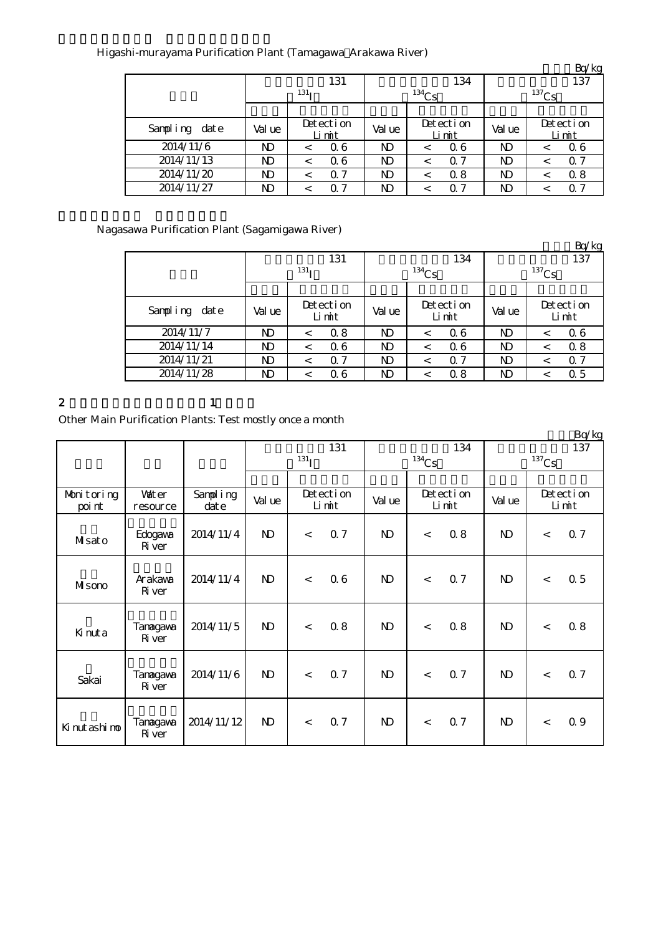# Higashi-murayama Purification Plant (Tamagawa Arakawa River)

|               |              |                    |        |                       |              | Bq/kg                 |  |  |
|---------------|--------------|--------------------|--------|-----------------------|--------------|-----------------------|--|--|
|               |              | 131                |        | 134                   | 137          |                       |  |  |
|               |              | 131 <sub>T</sub>   |        | $134$ Cs              | $137$ Cs     |                       |  |  |
|               |              |                    |        |                       |              |                       |  |  |
| Sampling date | Val ue       | Detection<br>Limit | Val ue | Detection<br>Limit    | Val ue       | Detection<br>Limit    |  |  |
| 2014/11/6     | ND           | 06<br>$\,<\,$      | ND     | 06                    | ND           | 06<br><               |  |  |
| 2014/11/13    | $\mathbf{D}$ | 06<br>$\,<\,$      | ND     | $\alpha$ 7<br>$\,<\,$ | $\mathbf{D}$ | $\alpha$ 7<br>$\,<\,$ |  |  |
| 2014/11/20    | ND           | 0.7<br>$\,<\,$     | ND     | 0.8                   | $\mathbf{D}$ | 0.8<br>$\,<$          |  |  |
| 2014/11/27    | ND           | 0.7<br><           | ND     | 07                    | ND           | $\Omega$ 7<br><       |  |  |

Nagasawa Purification Plant (Sagamigawa River)

|               |                |                           |        |                       |                | Bq/kg              |  |  |
|---------------|----------------|---------------------------|--------|-----------------------|----------------|--------------------|--|--|
|               |                | 131                       |        | 134                   | 137            |                    |  |  |
|               |                | 131 <sub>T</sub>          |        | $^{134}Cs$            | $137$ Cs       |                    |  |  |
|               |                |                           |        |                       |                |                    |  |  |
| Sampling date | Val ue         | Detection<br>Limit        | Val ue | Detection<br>Limit    | Val ue         | Detection<br>Limit |  |  |
| 2014/11/7     | ND             | 0.8<br>$\,<\,$            | ND     | 06<br>$\,<\,$         | N <sub>D</sub> | 06<br>$\,<\,$      |  |  |
| 2014/11/14    | N <sub>D</sub> | 06<br>$\,<\,$             | ND     | 06<br>←               | N <sub>D</sub> | 0.8<br>$\,<\,$     |  |  |
| 2014/11/21    | ND             | Q <sub>7</sub><br>$\,<\,$ | ND     | $\alpha$ 7<br>$\,<\,$ | $\mathbf{D}$   | 0.7<br>$\,<\,$     |  |  |
| 2014/11/28    | ND             | 06<br><                   | ND     | 0.8                   | ND             | 0.5<br>$\,<\,$     |  |  |

2  $1$ 

Other Main Purification Plants: Test mostly once a month

|                |                           |            |              |           |           |              |          |           |              |       | Bq/kg     |  |
|----------------|---------------------------|------------|--------------|-----------|-----------|--------------|----------|-----------|--------------|-------|-----------|--|
|                |                           |            | 131          |           |           |              | 134      |           |              | 137   |           |  |
|                |                           |            |              | $^{131}I$ |           |              | $134$ Cs |           | $137$ Cs     |       |           |  |
|                |                           |            |              |           |           |              |          |           |              |       |           |  |
|                |                           |            |              |           |           |              |          |           |              |       |           |  |
| Monitoring     | <b>Vater</b>              | Sampling   | Val ue       |           | Detection | Val ue       |          | Detection | Val ue       |       | Detection |  |
| poi nt         | resource                  | $\det e$   |              |           | Limit     |              |          | Limit     |              |       | Limit     |  |
| Misato         | Edogava<br>Ri ver         | 2014/11/4  | $\mathbf{D}$ | $\lt$     | 0.7       | $\mathbf{D}$ | $\lt$    | 08        | $\mathbf{D}$ | $\lt$ | 0.7       |  |
| MIsono         | Arakawa<br>Ri ver         | 2014/11/4  | $\mathbf{D}$ | $\lt$     | 06        | $\mathbf{D}$ | $\lt$    | 0.7       | $\mathbf{D}$ | $\lt$ | 0.5       |  |
| Kinuta         | Tanagawa<br>Ri ver        | 2014/11/5  | $\mathbf{N}$ | $\lt$     | 08        | $\mathbf{N}$ | $\lt$    | 0.8       | $\mathbf{D}$ | $\,<$ | 0.8       |  |
| Sakai          | Tanagawa<br><b>R</b> iver | 2014/11/6  | $\mathbf{D}$ | $\lt$     | 0.7       | $\mathbf{D}$ | $\lt$    | 0.7       | $\mathbf{D}$ | $\lt$ | 0.7       |  |
| Ki nut ashi no | Tanagawa<br><b>R</b> iver | 2014/11/12 | $\mathbf{N}$ | $\lt$     | 0.7       | $\mathbf{D}$ | $\lt$    | 0.7       | $\mathbf{D}$ | $\lt$ | 0.9       |  |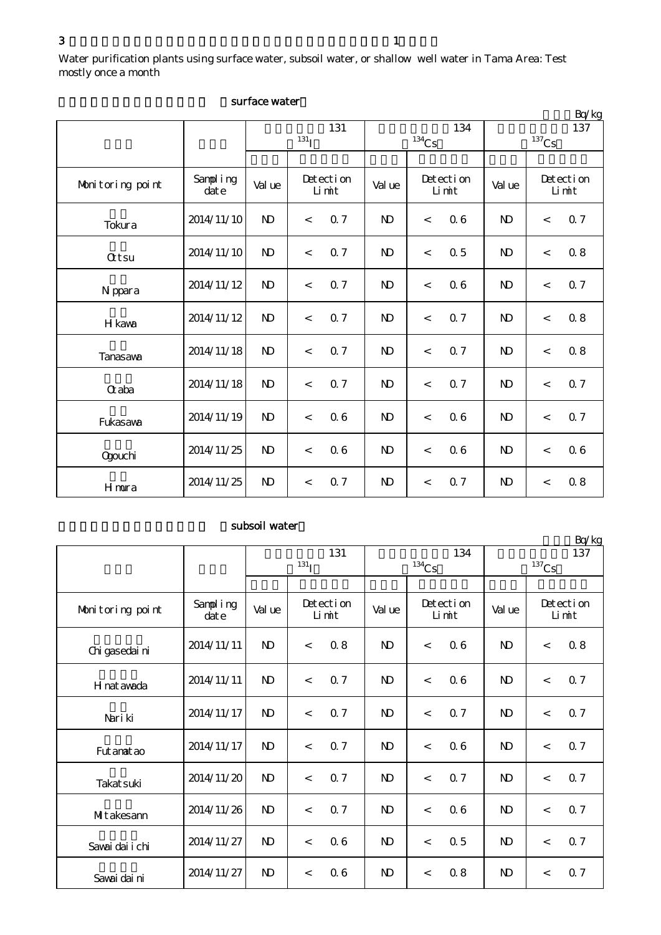$3$  and  $1$ 

Water purification plants using surface water, subsoil water, or shallow well water in Tama Area: Test mostly once a month

|                  |                   |              |                    |     |              |                     |     |                |          | Bq/kg              |  |
|------------------|-------------------|--------------|--------------------|-----|--------------|---------------------|-----|----------------|----------|--------------------|--|
|                  |                   |              |                    | 131 |              |                     | 134 |                |          | 137                |  |
|                  |                   |              | $^{131}$ I         |     |              | $^{134}\mathrm{Cs}$ |     |                | $137$ Cs |                    |  |
|                  |                   |              |                    |     |              |                     |     |                |          |                    |  |
| Monitoring point | Sampling<br>dat e | Val ue       | Detection<br>Limit |     | Val ue       | Detection<br>Limit  |     | Val ue         |          | Detection<br>Limit |  |
| Tokura           | 2014/11/10        | $\mathbf{N}$ | $\,<$              | 0.7 | $\mathbf{N}$ | $\,<$               | 06  | $\mathbf{D}$   | $\,<$    | 0.7                |  |
| <b>Qtsu</b>      | 2014/11/10        | $\mathbf{N}$ | $\,<$              | 0.7 | $\mathbf{N}$ | $\lt$               | 0.5 | $\mathbf{N}$   | $\,<$    | 0.8                |  |
| N ppara          | 2014/11/12        | $\mathbf{N}$ | $\lt$              | 0.7 | $\mathbf{N}$ | $\lt$               | 06  | $\mathbf{N}$   | $\,<$    | 0.7                |  |
| H kava           | 2014/11/12        | $\mathbf{N}$ | $\prec$            | 0.7 | $\mathbf{N}$ | $\,<$               | 0.7 | N <sub>D</sub> | $\,<$    | 0.8                |  |
| Tanasawa         | 2014/11/18        | $\mathbf{N}$ | $\,<$              | 0.7 | $\mathbf{N}$ | $\,<$               | 0.7 | N <sub>D</sub> | $\,<$    | 0.8                |  |
| $\alpha$ aba     | 2014/11/18        | $\mathbf{N}$ | $\,<$              | 0.7 | $\mathbf{N}$ | $\,<$               | 0.7 | N <sub>D</sub> | $\,<$    | 0.7                |  |
| Fukasawa         | 2014/11/19        | $\mathbf{N}$ | $\lt$              | 06  | $\mathbf{N}$ | $\,<$               | 06  | N <sub>D</sub> | $\lt$    | 0.7                |  |
| <b>Ogouchi</b>   | 2014/11/25        | $\mathbf{D}$ | $\,<$              | 06  | $\mathbf{D}$ | $\,<$               | 06  | $\mathbf{D}$   | $\,<$    | 06                 |  |
| Hmura            | 2014/11/25        | $\mathbf{N}$ | $\,<$              | 0.7 | $\mathbf{N}$ | $\,<$               | 0.7 | $\mathbf{N}$   | $\,<\,$  | 08                 |  |

## surface water

## subsoil water

|                  |                   |              |                    |                    |              |          |                    |              |       | $\frac{D(1)}{D}$   |
|------------------|-------------------|--------------|--------------------|--------------------|--------------|----------|--------------------|--------------|-------|--------------------|
|                  |                   | 131          |                    |                    |              | 134      |                    |              | 137   |                    |
|                  |                   |              | $131$ <sub>I</sub> |                    |              | $134$ Cs |                    | $^{137}Cs$   |       |                    |
| Monitoring point | Sampling<br>dat e | Val ue       |                    | Detection<br>Limit | Val ue       |          | Detection<br>Limit | Val ue       |       | Detection<br>Limit |
| Chi gasedai ni   | 2014/11/11        | $\mathbf{N}$ | $\lt$              | 0.8                | $\mathbf{D}$ | $\prec$  | 06                 | $\mathbf{D}$ | $\lt$ | 0.8                |
| H nat awada      | 2014/11/11        | $\mathbf{N}$ | $\,<$              | 0.7                | $\mathbf{D}$ | $\lt$    | 06                 | $\mathbf{D}$ | $\,<$ | 0.7                |
| Nari ki          | 2014/11/17        | $\mathbf{D}$ | $\lt$              | 0.7                | $\mathbf{D}$ | $\lt$    | 0.7                | $\mathbf{D}$ | $\lt$ | 0.7                |
| Fut anat ao      | 2014/11/17        | $\mathbf{N}$ | $\lt$              | 0.7                | $\mathbf{D}$ | $\lt$    | 06                 | $\mathbf{D}$ | $\lt$ | 0.7                |
| Takat suki       | 2014/11/20        | $\mathbf{N}$ | $\lt$              | 0.7                | $\mathbf{D}$ | $\lt$    | 0.7                | $\mathbf{D}$ | $\lt$ | 0.7                |
| Mitakesann       | 2014/11/26        | $\mathbf{D}$ | $\,<$              | 0.7                | $\mathbf{D}$ | $\,<$    | 06                 | $\mathbf{D}$ | $\lt$ | 0.7                |
| Savai dai i chi  | 2014/11/27        | $\mathbf{N}$ | $\lt$              | 06                 | $\mathbf{D}$ | $\,<$    | 0.5                | $\mathbf{N}$ | $\lt$ | 0.7                |
| Sawai dai ni     | 2014/11/27        | $\mathbf{D}$ | $\,<$              | 06                 | $\mathbf{D}$ | $\,<\,$  | 0.8                | $\mathbf{D}$ | $\lt$ | 0.7                |

 $R_0/k_0$